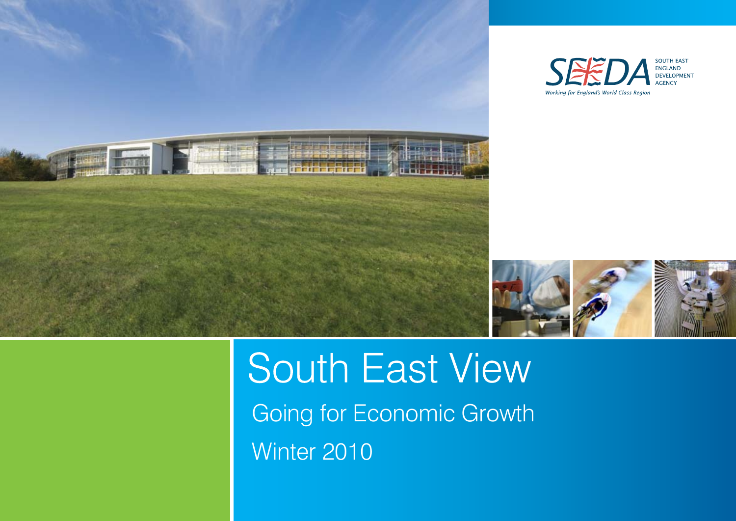



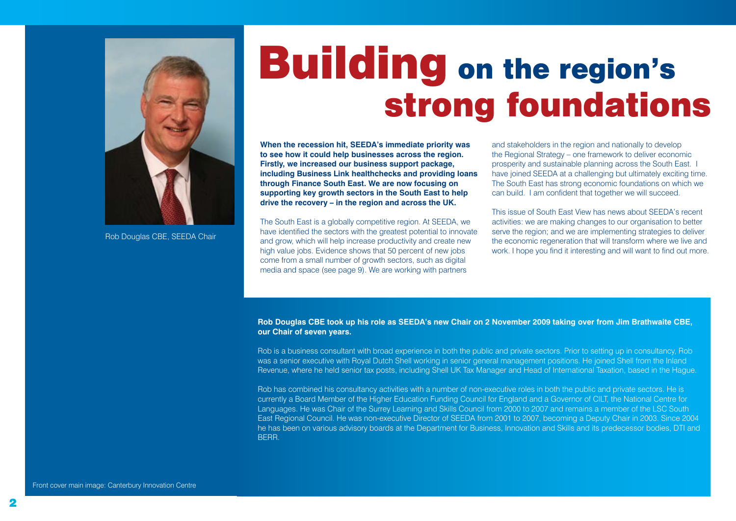

Rob Douglas CBE, SEEDA Chair

## Building on the region's strong foundations

**When the recession hit, SEEDA's immediate priority was to see how it could help businesses across the region. Firstly, we increased our business support package, including Business Link healthchecks and providing loans through Finance South East. We are now focusing on supporting key growth sectors in the South East to help drive the recovery – in the region and across the UK.** 

The South East is a globally competitive region. At SEEDA, we have identified the sectors with the greatest potential to innovate and grow, which will help increase productivity and create new high value jobs. Evidence shows that 50 percent of new jobs come from a small number of growth sectors, such as digital media and space (see page 9). We are working with partners

and stakeholders in the region and nationally to develop the Regional Strategy – one framework to deliver economic prosperity and sustainable planning across the South East. I have joined SEEDA at a challenging but ultimately exciting time. The South East has strong economic foundations on which we can build. I am confident that together we will succeed.

This issue of South East View has news about SEEDA's recent activities: we are making changes to our organisation to better serve the region; and we are implementing strategies to deliver the economic regeneration that will transform where we live and work. I hope you find it interesting and will want to find out more.

**Rob Douglas CBE took up his role as SEEDA's new Chair on 2 November 2009 taking over from Jim Brathwaite CBE, our Chair of seven years.**

Rob is a business consultant with broad experience in both the public and private sectors. Prior to setting up in consultancy, Rob was a senior executive with Royal Dutch Shell working in senior general management positions. He joined Shell from the Inland Revenue, where he held senior tax posts, including Shell UK Tax Manager and Head of International Taxation, based in the Hague.

Rob has combined his consultancy activities with a number of non-executive roles in both the public and private sectors. He is currently a Board Member of the Higher Education Funding Council for England and a Governor of CILT, the National Centre for Languages. He was Chair of the Surrey Learning and Skills Council from 2000 to 2007 and remains a member of the LSC South East Regional Council. He was non-executive Director of SEEDA from 2001 to 2007, becoming a Deputy Chair in 2003. Since 2004 he has been on various advisory boards at the Department for Business, Innovation and Skills and its predecessor bodies. DTI and BERR.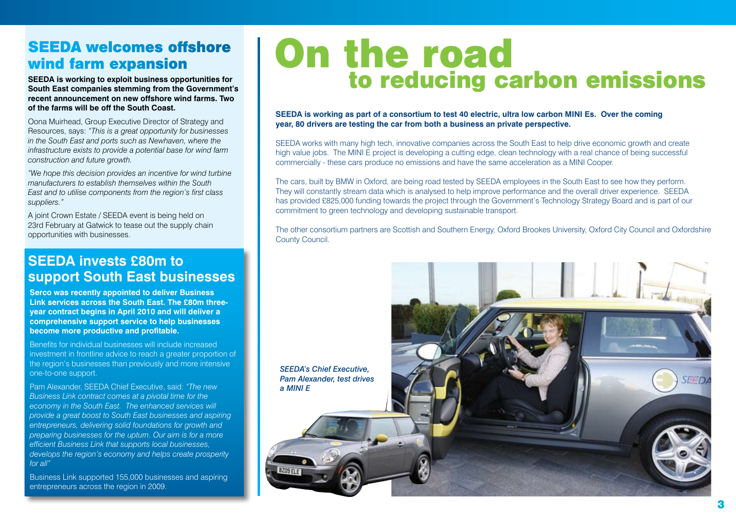## SEEDA welcomes offshore wind farm expansion

**SEEDA is working to exploit business opportunities for South East companies stemming from the Government's recent announcement on new offshore wind farms. Two of the farms will be off the South Coast.**

Oona Muirhead, Group Executive Director of Strategy and Resources, says: *"This is a great opportunity for businesses in the South East and ports such as Newhaven, where the infrastructure exists to provide a potential base for wind farm construction and future growth.*

*"We hope this decision provides an incentive for wind turbine manufacturers to establish themselves within the South East and to utilise components from the region's first class suppliers."*

A joint Crown Estate / SEEDA event is being held on 23rd February at Gatwick to tease out the supply chain opportunities with businesses.

#### **SEEDA invests £80m to support South East businesses**

**Serco was recently appointed to deliver Business Link services across the South East. The £80m threeyear contract begins in April 2010 and will deliver a comprehensive support service to help businesses become more productive and profitable.**

Benefits for individual businesses will include increased investment in frontline advice to reach a greater proportion of the region's businesses than previously and more intensive one-to-one support.

Pam Alexander, SEEDA Chief Executive, said: *"The new Business Link contract comes at a pivotal time for the economy in the South East. The enhanced services will provide a great boost to South East businesses and aspiring entrepreneurs, delivering solid foundations for growth and preparing businesses for the upturn. Our aim is for a more efficient Business Link that supports local businesses, develops the region's economy and helps create prosperity for all"*

Business Link supported 155,000 businesses and aspiring entrepreneurs across the region in 2009.

## On the road to reducing carbon emissions

**SEEDA is working as part of a consortium to test 40 electric, ultra low carbon MINI Es. Over the coming year, 80 drivers are testing the car from both a business an private perspective.** 

SEEDA works with many high tech, innovative companies across the South East to help drive economic growth and create high value jobs. The MINI E project is developing a cutting edge, clean technology with a real chance of being successful commercially - these cars produce no emissions and have the same acceleration as a MINI Cooper.

The cars, built by BMW in Oxford, are being road tested by SEEDA employees in the South East to see how they perform. They will constantly stream data which is analysed to help improve performance and the overall driver experience. SEEDA has provided £825,000 funding towards the project through the Government's Technology Strategy Board and is part of our commitment to green technology and developing sustainable transport.

The other consortium partners are Scottish and Southern Energy, Oxford Brookes University, Oxford City Council and Oxfordshire County Council.

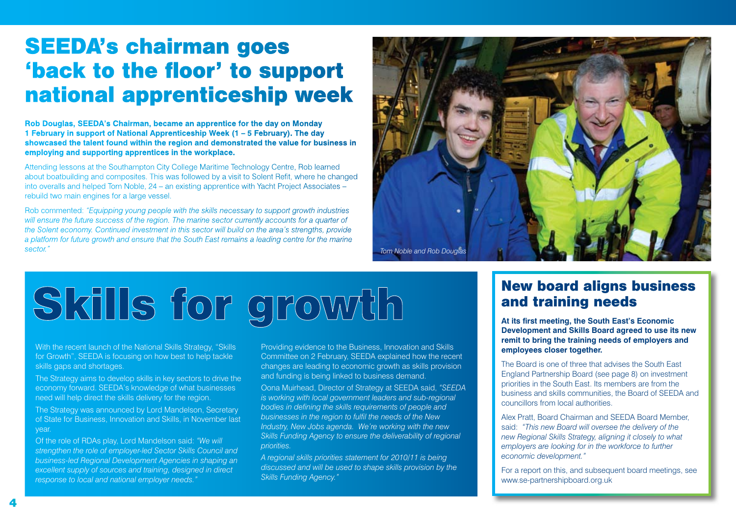## SEEDA's chairman goes 'back to the floor' to support national apprenticeship week

**Rob Douglas, SEEDA's Chairman, became an apprentice for the day on Monday 1 February in support of National Apprenticeship Week (1 – 5 February). The day showcased the talent found within the region and demonstrated the value for business in employing and supporting apprentices in the workplace.**

Attending lessons at the Southampton City College Maritime Technology Centre, Rob learned about boatbuilding and composites. This was followed by a visit to Solent Refit, where he changed into overalls and helped Tom Noble, 24 – an existing apprentice with Yacht Project Associates – rebuild two main engines for a large vessel.

Rob commented: *"Equipping young people with the skills necessary to support growth industries will ensure the future success of the region. The marine sector currently accounts for a quarter of the Solent economy. Continued investment in this sector will build on the area's strengths, provide a platform for future growth and ensure that the South East remains a leading centre for the marine sector."*



# Skills for growth

With the recent launch of the National Skills Strategy, "Skills" for Growth", SEEDA is focusing on how best to help tackle skills gaps and shortages.

The Strategy aims to develop skills in key sectors to drive the economy forward. SEEDA's knowledge of what businesses need will help direct the skills delivery for the region.

The Strategy was announced by Lord Mandelson, Secretary of State for Business, Innovation and Skills, in November last year.

Of the role of RDAs play, Lord Mandelson said: *"We will strengthen the role of employer-led Sector Skills Council and business-led Regional Development Agencies in shaping an excellent supply of sources and training, designed in direct response to local and national employer needs."*

Providing evidence to the Business, Innovation and Skills Committee on 2 February, SEEDA explained how the recent changes are leading to economic growth as skills provision and funding is being linked to business demand.

Oona Muirhead, Director of Strategy at SEEDA said, *"SEEDA is working with local government leaders and sub-regional bodies in defining the skills requirements of people and businesses in the region to fulfil the needs of the New Industry, New Jobs agenda. We're working with the new*  **Skills Funding Agency to ensure the deliverability of regional** *priorities.* 

*A regional skills priorities statement for 2010/11 is being discussed and will be used to shape skills provision by the Skills Funding Agency."*

#### New board aligns business and training needs

**At its first meeting, the South East's Economic Development and Skills Board agreed to use its new remit to bring the training needs of employers and employees closer together.**

The Board is one of three that advises the South East England Partnership Board (see page 8) on investment priorities in the South East. Its members are from the business and skills communities, the Board of SEEDA and councillors from local authorities.

Alex Pratt, Board Chairman and SEEDA Board Member, said: *"This new Board will oversee the delivery of the new Regional Skills Strategy, aligning it closely to what employers are looking for in the workforce to further economic development."* 

For a report on this, and subsequent board meetings, see <www.se-partnershipboard.org.uk>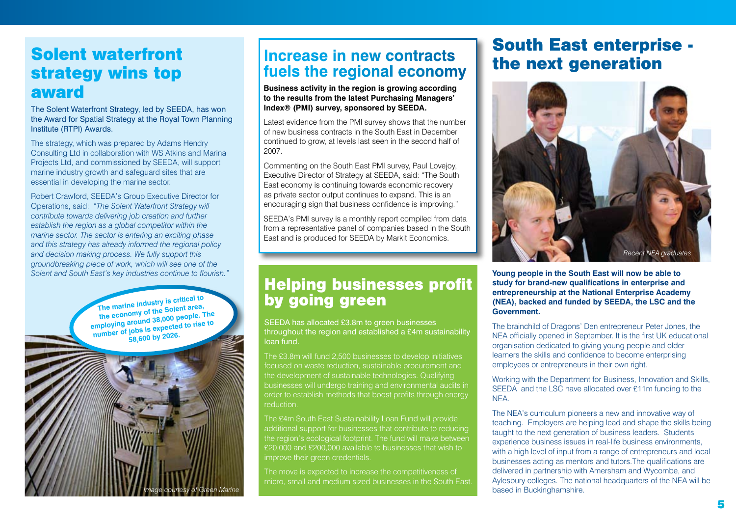## Solent waterfront strategy wins top award

The Solent Waterfront Strategy, led by SEEDA, has won the Award for Spatial Strategy at the Royal Town Planning Institute (RTPI) Awards.

The strategy, which was prepared by Adams Hendry Consulting Ltd in collaboration with WS Atkins and Marina Projects Ltd, and commissioned by SEEDA, will support marine industry growth and safeguard sites that are essential in developing the marine sector.

Robert Crawford, SEEDA's Group Executive Director for Operations, said: *"The Solent Waterfront Strategy will contribute towards delivering job creation and further establish the region as a global competitor within the marine sector. The sector is entering an exciting phase and this strategy has already informed the regional policy and decision making process. We fully support this groundbreaking piece of work, which will see one of the Solent and South East's key industries continue to flourish."* 

> **The marine industry is critical to the economy of the Solent area, employing around 38,000 people. The number of jobs is expected to rise to 58,600 by 2026.**

> > *Image courtesy of Green Marine*

## **Increase in new contracts fuels the regional economy**

**Business activity in the region is growing according to the results from the latest Purchasing Managers' Index® (PMI) survey, sponsored by SEEDA.**

Latest evidence from the PMI survey shows that the number of new business contracts in the South East in December continued to grow, at levels last seen in the second half of 2007.

Commenting on the South East PMI survey, Paul Lovejoy, Executive Director of Strategy at SEEDA, said: "The South East economy is continuing towards economic recovery as private sector output continues to expand. This is an encouraging sign that business confidence is improving."

SEEDA's PMI survey is a monthly report compiled from data from a representative panel of companies based in the South East and is produced for SEEDA by Markit Economics.

## Helping businesses profit by going green

SEEDA has allocated £3.8m to green businesses throughout the region and established a £4m sustainability loan fund.

The £3.8m will fund 2,500 businesses to develop initiatives focused on waste reduction, sustainable procurement and the development of sustainable technologies. Qualifying businesses will undergo training and environmental audits in order to establish methods that boost profits through energy reduction.

The £4m South East Sustainability Loan Fund will provide additional support for businesses that contribute to reducing the region's ecological footprint. The fund will make between £20,000 and £200,000 available to businesses that wish to improve their green credentials.

The move is expected to increase the competitiveness of micro, small and medium sized businesses in the South East.

## South East enterprise the next generation



**Young people in the South East will now be able to study for brand-new qualifications in enterprise and entrepreneurship at the National Enterprise Academy (NEA), backed and funded by SEEDA, the LSC and the Government.** 

The brainchild of Dragons' Den entrepreneur Peter Jones, the NEA officially opened in September. It is the first UK educational organisation dedicated to giving young people and older learners the skills and confidence to become enterprising employees or entrepreneurs in their own right.

Working with the Department for Business, Innovation and Skills, SEEDA and the LSC have allocated over £11m funding to the NEA.

The NEA's curriculum pioneers a new and innovative way of teaching. Employers are helping lead and shape the skills being taught to the next generation of business leaders. Students experience business issues in real-life business environments, with a high level of input from a range of entrepreneurs and local businesses acting as mentors and tutors.The qualifications are delivered in partnership with Amersham and Wycombe, and Aylesbury colleges. The national headquarters of the NEA will be based in Buckinghamshire.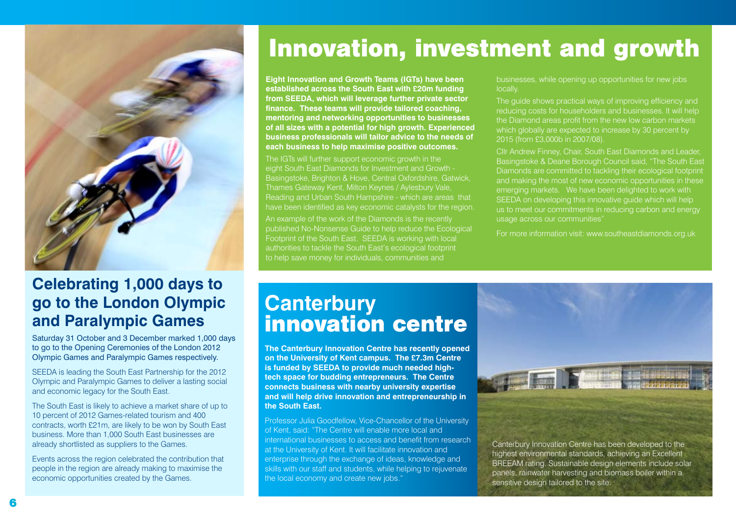

## **Celebrating 1,000 days to go to the London Olympic and Paralympic Games**

Saturday 31 October and 3 December marked 1,000 days to go to the Opening Ceremonies of the London 2012 Olympic Games and Paralympic Games respectively.

SEEDA is leading the South East Partnership for the 2012 Olympic and Paralympic Games to deliver a lasting social and economic legacy for the South East.

The South East is likely to achieve a market share of up to 10 percent of 2012 Games-related tourism and 400 contracts, worth £21m, are likely to be won by South East business. More than 1,000 South East businesses are already shortlisted as suppliers to the Games.

Events across the region celebrated the contribution that people in the region are already making to maximise the economic opportunities created by the Games.

## Innovation, investment and growth

**Eight Innovation and Growth Teams (IGTs) have been established across the South East with £20m funding from SEEDA, which will leverage further private sector finance. These teams will provide tailored coaching, mentoring and networking opportunities to businesses of all sizes with a potential for high growth. Experienced business professionals will tailor advice to the needs of each business to help maximise positive outcomes.**

The IGTs will further support economic growth in the eight South East Diamonds for Investment and Growth - Basingstoke, Brighton & Hove, Central Oxfordshire, Gatwick, Thames Gateway Kent, Milton Keynes / Aylesbury Vale, Reading and Urban South Hampshire - which are areas that have been identified as key economic catalysts for the region. An example of the work of the Diamonds is the recently published No-Nonsense Guide to help reduce the Ecological Footprint of the South East. SEEDA is working with local authorities to tackle the South East's ecological footprint to help save money for individuals, communities and

businesses, while opening up opportunities for new jobs locally.

The guide shows practical ways of improving efficiency and reducing costs for householders and businesses. It will help the Diamond areas profit from the new low carbon markets which globally are expected to increase by 30 percent by 2015 (from £3,000b in 2007/08).

Cllr Andrew Finney, Chair, South East Diamonds and Leader, Basingstoke & Deane Borough Council said, "The South East Diamonds are committed to tackling their ecological footprint and making the most of new economic opportunities in these emerging markets. We have been delighted to work with SEEDA on developing this innovative guide which will help us to meet our commitments in reducing carbon and energy usage across our communities"

For more information visit: <www.southeastdiamonds.org.uk>

## **Canterbury**  innovation centre

**The Canterbury Innovation Centre has recently opened on the University of Kent campus. The £7.3m Centre is funded by SEEDA to provide much needed hightech space for budding entrepreneurs. The Centre connects business with nearby university expertise and will help drive innovation and entrepreneurship in the South East.** 

Professor Julia Goodfellow, Vice-Chancellor of the University of Kent, said: "The Centre will enable more local and international businesses to access and benefit from research at the University of Kent. It will facilitate innovation and enterprise through the exchange of ideas, knowledge and skills with our staff and students, while helping to rejuvenate the local economy and create new jobs."



Canterbury Innovation Centre has been developed to the highest environmental standards, achieving an Excellent BREEAM rating. Sustainable design elements include solar panels, rainwater harvesting and biomass boiler within a sensitive design tailored to the site.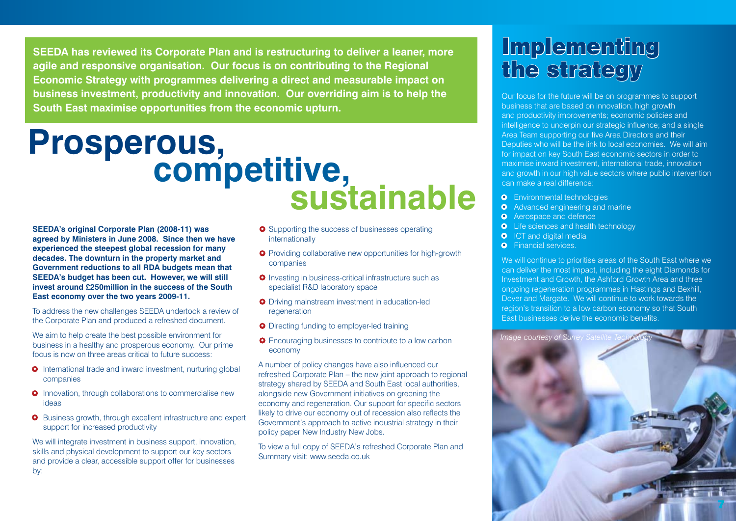**SEEDA has reviewed its Corporate Plan and is restructuring to deliver a leaner, more agile and responsive organisation. Our focus is on contributing to the Regional Economic Strategy with programmes delivering a direct and measurable impact on business investment, productivity and innovation. Our overriding aim is to help the South East maximise opportunities from the economic upturn.** 

# Prosperous,<br>
competitive,<br>
sustainable

**SEEDA's original Corporate Plan (2008-11) was agreed by Ministers in June 2008. Since then we have experienced the steepest global recession for many decades. The downturn in the property market and Government reductions to all RDA budgets mean that SEEDA's budget has been cut. However, we will still invest around £250million in the success of the South East economy over the two years 2009-11.**

To address the new challenges SEEDA undertook a review of the Corporate Plan and produced a refreshed document.

We aim to help create the best possible environment for business in a healthy and prosperous economy. Our prime focus is now on three areas critical to future success:

- **•** International trade and inward investment, nurturing global companies
- **•** Innovation, through collaborations to commercialise new ideas
- Business growth, through excellent infrastructure and expert support for increased productivity

We will integrate investment in business support, innovation, skills and physical development to support our key sectors and provide a clear, accessible support offer for businesses by:

- **•** Supporting the success of businesses operating internationally
- **•** Providing collaborative new opportunities for high-growth companies
- **•** Investing in business-critical infrastructure such as specialist R&D laboratory space
- **•** Driving mainstream investment in education-led regeneration
- **•** Directing funding to employer-led training
- **•** Encouraging businesses to contribute to a low carbon economy

A number of policy changes have also influenced our refreshed Corporate Plan – the new joint approach to regional strategy shared by SEEDA and South East local authorities. alongside new Government initiatives on greening the economy and regeneration. Our support for specific sectors likely to drive our economy out of recession also reflects the Government's approach to active industrial strategy in their policy paper New Industry New Jobs.

To view a full copy of SEEDA's refreshed Corporate Plan and Summary visit: [www.seeda.co.uk](http://www.seeda.co.uk/news-and-publications/publications)

## **Implementing** the strategy

Our focus for the future will be on programmes to support business that are based on innovation, high growth and productivity improvements; economic policies and intelligence to underpin our strategic influence; and a single Area Team supporting our five Area Directors and their Deputies who will be the link to local economies. We will aim for impact on key South East economic sectors in order to maximise inward investment, international trade, innovation and growth in our high value sectors where public intervention can make a real difference:

- **•** Environmental technologies
- Advanced engineering and marine
- **•** Aerospace and defence
- **•** Life sciences and health technology
- **O** ICT and digital media
- **•** Financial services.

We will continue to prioritise areas of the South East where we can deliver the most impact, including the eight Diamonds for Investment and Growth, the Ashford Growth Area and three ongoing regeneration programmes in Hastings and Bexhill, Dover and Margate. We will continue to work towards the region's transition to a low carbon economy so that South East businesses derive the economic benefits.

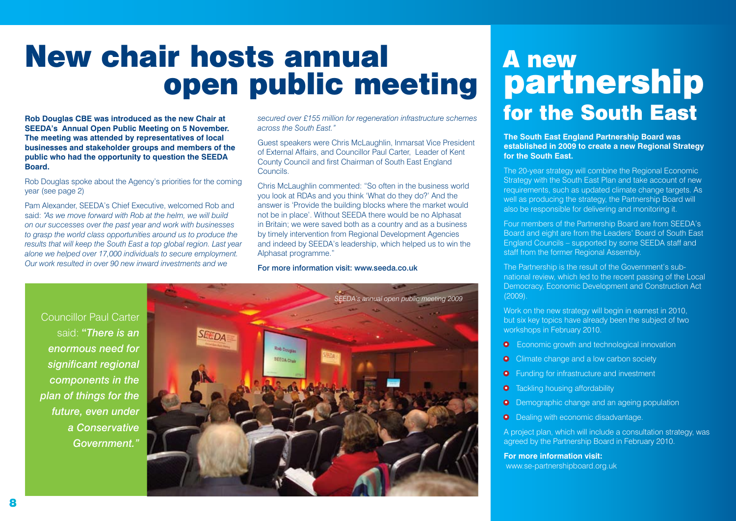## New chair hosts annual open public meeting

**Rob Douglas CBE was introduced as the new Chair at SEEDA's Annual Open Public Meeting on 5 November. The meeting was attended by representatives of local businesses and stakeholder groups and members of the public who had the opportunity to question the SEEDA Board.**

Rob Douglas spoke about the Agency's priorities for the coming year (see page 2)

Pam Alexander, SEEDA's Chief Executive, welcomed Rob and said: *"As we move forward with Rob at the helm, we will build on our successes over the past year and work with businesses to grasp the world class opportunities around us to produce the results that will keep the South East a top global region. Last year alone we helped over 17,000 individuals to secure employment. Our work resulted in over 90 new inward investments and we* 

*secured over £155 million for regeneration infrastructure schemes across the South East."*

Guest speakers were Chris McLaughlin, Inmarsat Vice President of External Affairs, and Councillor Paul Carter, Leader of Kent County Council and first Chairman of South East England Councils.

Chris McLaughlin commented: "So often in the business world you look at RDAs and you think 'What do they do?' And the answer is 'Provide the building blocks where the market would not be in place'. Without SEEDA there would be no Alphasat in Britain; we were saved both as a country and as a business by timely intervention from Regional Development Agencies and indeed by SEEDA's leadership, which helped us to win the Alphasat programme."

#### For more information visit: <www.seeda.co.uk>

Councillor Paul Carter said: **"***There is an enormous need for significant regional components in the plan of things for the future, even under a Conservative*  Government.



## A new partnership for the South East

**The South East England Partnership Board was established in 2009 to create a new Regional Strategy for the South East.**

The 20-year strategy will combine the Regional Economic Strategy with the South East Plan and take account of new requirements, such as updated climate change targets. As well as producing the strategy, the Partnership Board will also be responsible for delivering and monitoring it.

Four members of the Partnership Board are from SEEDA's Board and eight are from the Leaders' Board of South East England Councils – supported by some SEEDA staff and staff from the former Regional Assembly.

The Partnership is the result of the Government's subnational review, which led to the recent passing of the Local Democracy, Economic Development and Construction Act (2009).

Work on the new strategy will begin in earnest in 2010, but six key topics have already been the subject of two workshops in February 2010.

- **•** Economic growth and technological innovation
- Climate change and a low carbon society
- **•** Funding for infrastructure and investment
- **•** Tackling housing affordability
- Demographic change and an ageing population
- **•** Dealing with economic disadvantage.

A project plan, which will include a consultation strategy, was agreed by the Partnership Board in February 2010.

**For more information visit:** <www.se-partnershipboard.org.uk>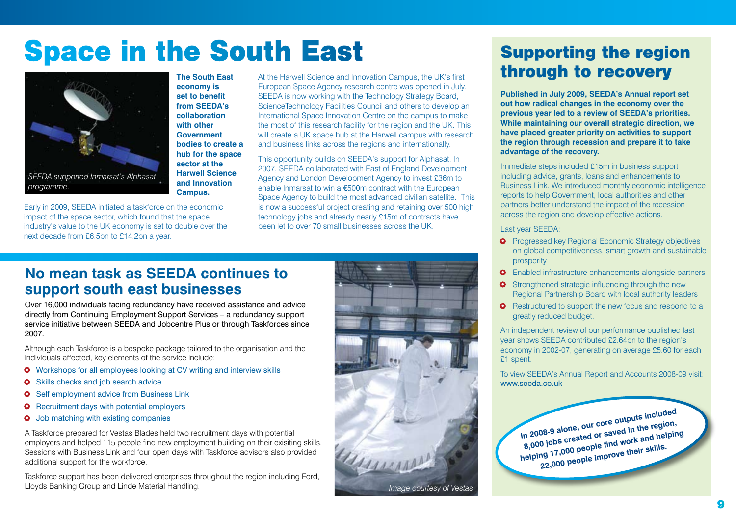## **Space in the South East**



**The South East economy is set to benefit from SEEDA's collaboration with other Government bodies to create a hub for the space sector at the Harwell Science and Innovation Campus.**

Early in 2009, SEEDA initiated a taskforce on the economic impact of the space sector, which found that the space industry's value to the UK economy is set to double over the next decade from £6.5bn to £14.2bn a year.

At the Harwell Science and Innovation Campus, the UK's first European Space Agency research centre was opened in July. SEEDA is now working with the Technology Strategy Board, ScienceTechnology Facilities Council and others to develop an International Space Innovation Centre on the campus to make the most of this research facility for the region and the UK. This will create a UK space hub at the Harwell campus with research and business links across the regions and internationally.

This opportunity builds on SEEDA's support for Alphasat. In 2007, SEEDA collaborated with East of England Development Agency and London Development Agency to invest £36m to enable Inmarsat to win a €500m contract with the European Space Agency to build the most advanced civilian satellite. This is now a successful project creating and retaining over 500 high technology jobs and already nearly £15m of contracts have been let to over 70 small businesses across the UK.

### **No mean task as SEEDA continues to support south east businesses**

Over 16,000 individuals facing redundancy have received assistance and advice directly from Continuing Employment Support Services – a redundancy support service initiative between SEEDA and Jobcentre Plus or through Taskforces since 2007.

Although each Taskforce is a bespoke package tailored to the organisation and the individuals affected, key elements of the service include:

- **•** Workshops for all employees looking at CV writing and interview skills
- **•** Skills checks and job search advice
- **•** Self employment advice from Business Link
- **•** Recruitment days with potential employers
- **•** Job matching with existing companies

A Taskforce prepared for Vestas Blades held two recruitment days with potential employers and helped 115 people find new employment building on their exisiting skills. Sessions with Business Link and four open days with Taskforce advisors also provided additional support for the workforce.

Taskforce support has been delivered enterprises throughout the region including Ford, Lloyds Banking Group and Linde Material Handling.



## Supporting the region through to recovery

**Published in July 2009, SEEDA's Annual report set out how radical changes in the economy over the previous year led to a review of SEEDA's priorities. While maintaining our overall strategic direction, we have placed greater priority on activities to support the region through recession and prepare it to take advantage of the recovery.** 

Immediate steps included £15m in business support including advice, grants, loans and enhancements to Business Link. We introduced monthly economic intelligence reports to help Government, local authorities and other partners better understand the impact of the recession across the region and develop effective actions.

Last year SEEDA:

- **•** Progressed key Regional Economic Strategy objectives on global competitiveness, smart growth and sustainable prosperity
- **•** Enabled infrastructure enhancements alongside partners
- **•** Strengthened strategic influencing through the new Regional Partnership Board with local authority leaders
- **•** Restructured to support the new focus and respond to a greatly reduced budget.

An independent review of our performance published last year shows SEEDA contributed £2.64bn to the region's economy in 2002-07, generating on average £5.60 for each £1 spent.

To view SEEDA's Annual Report and Accounts 2008-09 visit: [www.seeda.co.uk](http://www.seeda.co.uk/news-and-publications/publications)

**In 2008-9 alone, our core outputs included 8,000 jobs created or saved in the region, helping 17,000 people find work and helping 22,000 people improve their skills.**